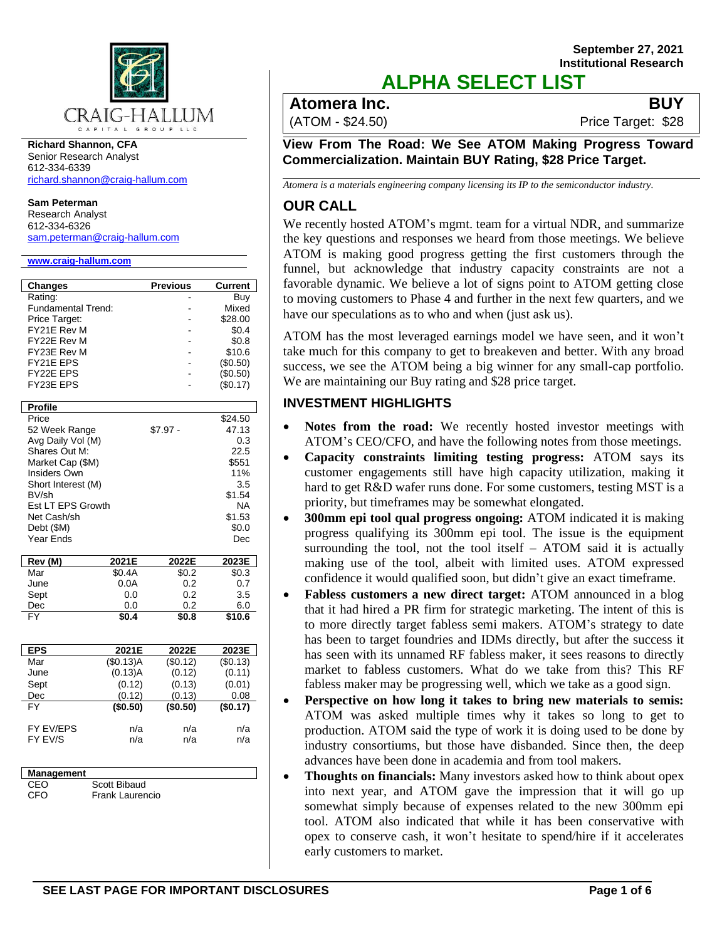

**Richard Shannon, CFA** Senior Research Analyst 612-334-6339 [richard.shannon@craig-hallum.com](mailto:richard.shannon@craig-hallum.com)

**Sam Peterman**

Research Analyst 612-334-6326 [sam.peterman@craig-hallum.com](mailto:sam.peterman@craig-hallum.com)

#### **[www.craig-hallum.com](http://www.craig-hallum.com/)**

| <b>Changes</b>            |           | Previous  | <b>Current</b> |
|---------------------------|-----------|-----------|----------------|
| Rating:                   |           |           | Buy            |
| <b>Fundamental Trend:</b> |           |           | Mixed          |
| Price Target:             |           |           | \$28.00        |
| FY21E Rev M               |           |           | \$0.4          |
| FY22E Rev M               |           |           | \$0.8          |
| FY23E Rev M               |           |           | \$10.6         |
| FY21E EPS                 |           |           | (\$0.50)       |
| FY22E EPS                 |           |           | (\$0.50)       |
| FY23E EPS                 |           |           | (\$0.17)       |
| <b>Profile</b>            |           |           |                |
| Price                     |           |           | \$24.50        |
| 52 Week Range             |           | $$7.97 -$ | 47.13          |
| Avg Daily Vol (M)         |           |           | 0.3            |
| Shares Out M:             |           |           | 22.5           |
| Market Cap (\$M)          |           |           | \$551          |
| Insiders Own              |           |           | 11%            |
| Short Interest (M)        |           |           | 3.5            |
| BV/sh                     |           |           | \$1.54         |
| Est LT EPS Growth         |           |           | <b>NA</b>      |
| Net Cash/sh               |           |           | \$1.53         |
| Debt (\$M)                |           |           | \$0.0          |
| Year Ends                 |           |           | Dec            |
| Rev (M)                   | 2021E     | 2022E     | 2023E          |
| Mar                       | \$0.4A    | \$0.2     | \$0.3          |
| June                      | 0.0A      | 0.2       | 0.7            |
| Sept                      | 0.0       | 0.2       | 3.5            |
| Dec                       | 0.0       | 0.2       | 6.0            |
| FY                        | \$0.4     | \$0.8     | \$10.6         |
|                           |           |           |                |
| <b>EPS</b>                | 2021E     | 2022E     | 2023E          |
| Mar                       | (\$0.13)A | (\$0.12)  | (\$0.13)       |
| June                      | (0.13)A   | (0.12)    | (0.11)         |
| Sept                      | (0.12)    | (0.13)    | (0.01)         |
| Dec                       | (0.12)    | (0.13)    | 0.08           |
| <b>FY</b>                 | (\$0.50)  | (\$0.50)  | (\$0.17)       |
| FY EV/EPS                 | n/a       | n/a       | n/a            |
| FY EV/S                   | n/a       | n/a       | n/a            |
|                           |           |           |                |
|                           |           |           |                |
| Management                |           |           |                |

CFO Frank Laurencio

## **September 27, 2021 Institutional Research ALPHA SELECT LIST**

## **Atomera Inc. BUY**

(ATOM - \$24.50) Price Target: \$28

**View From The Road: We See ATOM Making Progress Toward Commercialization. Maintain BUY Rating, \$28 Price Target.** 

*Atomera is a materials engineering company licensing its IP to the semiconductor industry.* 

## **OUR CALL**

We recently hosted ATOM's mgmt. team for a virtual NDR, and summarize the key questions and responses we heard from those meetings. We believe ATOM is making good progress getting the first customers through the funnel, but acknowledge that industry capacity constraints are not a favorable dynamic. We believe a lot of signs point to ATOM getting close to moving customers to Phase 4 and further in the next few quarters, and we have our speculations as to who and when (just ask us).

ATOM has the most leveraged earnings model we have seen, and it won't take much for this company to get to breakeven and better. With any broad success, we see the ATOM being a big winner for any small-cap portfolio. We are maintaining our Buy rating and \$28 price target.

## **INVESTMENT HIGHLIGHTS**

- **Notes from the road:** We recently hosted investor meetings with ATOM's CEO/CFO, and have the following notes from those meetings.
- **Capacity constraints limiting testing progress:** ATOM says its customer engagements still have high capacity utilization, making it hard to get R&D wafer runs done. For some customers, testing MST is a priority, but timeframes may be somewhat elongated.
- **300mm epi tool qual progress ongoing:** ATOM indicated it is making progress qualifying its 300mm epi tool. The issue is the equipment surrounding the tool, not the tool itself – ATOM said it is actually making use of the tool, albeit with limited uses. ATOM expressed confidence it would qualified soon, but didn't give an exact timeframe.
- **Fabless customers a new direct target:** ATOM announced in a blog that it had hired a PR firm for strategic marketing. The intent of this is to more directly target fabless semi makers. ATOM's strategy to date has been to target foundries and IDMs directly, but after the success it has seen with its unnamed RF fabless maker, it sees reasons to directly market to fabless customers. What do we take from this? This RF fabless maker may be progressing well, which we take as a good sign.
- **Perspective on how long it takes to bring new materials to semis:** ATOM was asked multiple times why it takes so long to get to production. ATOM said the type of work it is doing used to be done by industry consortiums, but those have disbanded. Since then, the deep advances have been done in academia and from tool makers.
- **Thoughts on financials:** Many investors asked how to think about opex into next year, and ATOM gave the impression that it will go up somewhat simply because of expenses related to the new 300mm epi tool. ATOM also indicated that while it has been conservative with opex to conserve cash, it won't hesitate to spend/hire if it accelerates early customers to market.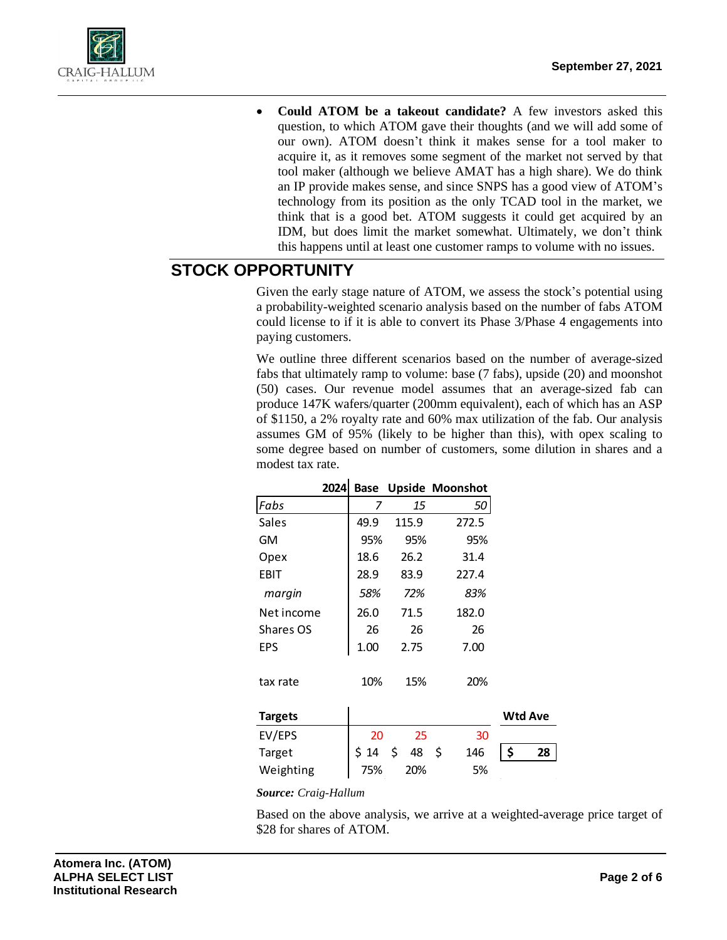

• **Could ATOM be a takeout candidate?** A few investors asked this question, to which ATOM gave their thoughts (and we will add some of our own). ATOM doesn't think it makes sense for a tool maker to acquire it, as it removes some segment of the market not served by that tool maker (although we believe AMAT has a high share). We do think an IP provide makes sense, and since SNPS has a good view of ATOM's technology from its position as the only TCAD tool in the market, we think that is a good bet. ATOM suggests it could get acquired by an IDM, but does limit the market somewhat. Ultimately, we don't think this happens until at least one customer ramps to volume with no issues.

# **STOCK OPPORTUNITY**

Given the early stage nature of ATOM, we assess the stock's potential using a probability-weighted scenario analysis based on the number of fabs ATOM could license to if it is able to convert its Phase 3/Phase 4 engagements into paying customers.

We outline three different scenarios based on the number of average-sized fabs that ultimately ramp to volume: base (7 fabs), upside (20) and moonshot (50) cases. Our revenue model assumes that an average-sized fab can produce 147K wafers/quarter (200mm equivalent), each of which has an ASP of \$1150, a 2% royalty rate and 60% max utilization of the fab. Our analysis assumes GM of 95% (likely to be higher than this), with opex scaling to some degree based on number of customers, some dilution in shares and a modest tax rate.

|                | 2024 |      |          | <b>Base Upside Moonshot</b> |                |
|----------------|------|------|----------|-----------------------------|----------------|
| Fabs           |      | 7    | 15       | 50                          |                |
| Sales          |      | 49.9 | 115.9    | 272.5                       |                |
| GМ             |      | 95%  | 95%      | 95%                         |                |
| Opex           |      | 18.6 | 26.2     | 31.4                        |                |
| EBIT           |      | 28.9 | 83.9     | 227.4                       |                |
| margin         |      | 58%  | 72%      | 83%                         |                |
| Net income     |      | 26.0 | 71.5     | 182.0                       |                |
| Shares OS      |      | 26   | 26       | 26                          |                |
| <b>EPS</b>     |      | 1.00 | 2.75     | 7.00                        |                |
| tax rate       |      | 10%  | 15%      | 20%                         |                |
| <b>Targets</b> |      |      |          |                             | <b>Wtd Ave</b> |
| EV/EPS         |      | 20   | 25       | 30                          |                |
| Target         |      | \$14 | \$<br>48 | -\$<br>146                  | \$<br>28       |
| Weighting      |      | 75%  | 20%      | 5%                          |                |

*Source: Craig-Hallum*

Based on the above analysis, we arrive at a weighted-average price target of \$28 for shares of ATOM.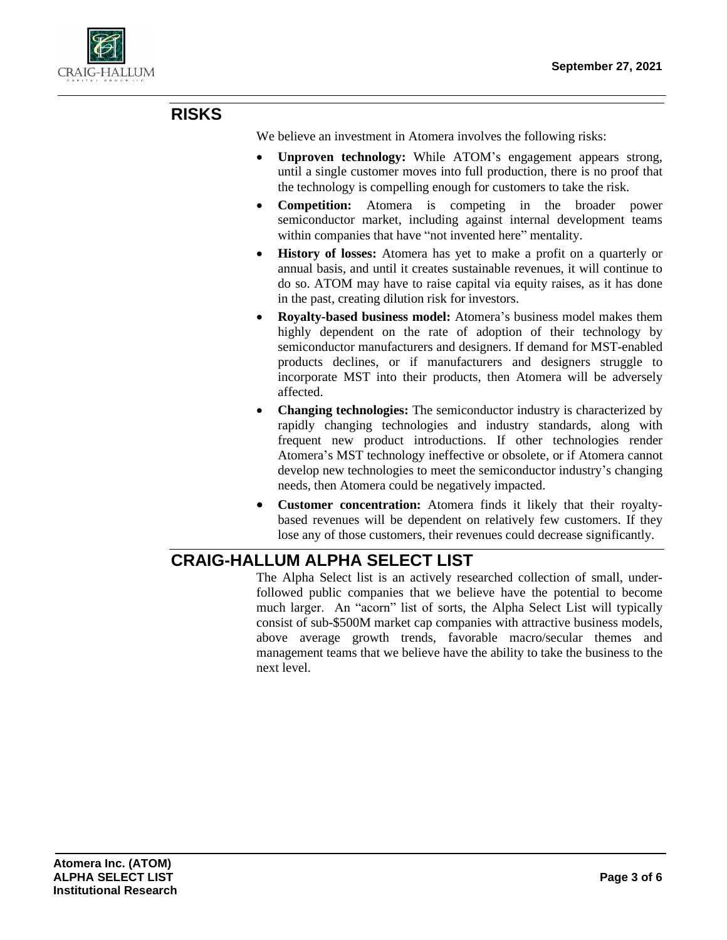

# **RISKS**

We believe an investment in Atomera involves the following risks:

- **Unproven technology:** While ATOM's engagement appears strong, until a single customer moves into full production, there is no proof that the technology is compelling enough for customers to take the risk.
- **Competition:** Atomera is competing in the broader power semiconductor market, including against internal development teams within companies that have "not invented here" mentality.
- **History of losses:** Atomera has yet to make a profit on a quarterly or annual basis, and until it creates sustainable revenues, it will continue to do so. ATOM may have to raise capital via equity raises, as it has done in the past, creating dilution risk for investors.
- **Royalty-based business model:** Atomera's business model makes them highly dependent on the rate of adoption of their technology by semiconductor manufacturers and designers. If demand for MST-enabled products declines, or if manufacturers and designers struggle to incorporate MST into their products, then Atomera will be adversely affected.
- **Changing technologies:** The semiconductor industry is characterized by rapidly changing technologies and industry standards, along with frequent new product introductions. If other technologies render Atomera's MST technology ineffective or obsolete, or if Atomera cannot develop new technologies to meet the semiconductor industry's changing needs, then Atomera could be negatively impacted.
- **Customer concentration:** Atomera finds it likely that their royaltybased revenues will be dependent on relatively few customers. If they lose any of those customers, their revenues could decrease significantly.

# **CRAIG-HALLUM ALPHA SELECT LIST**

The Alpha Select list is an actively researched collection of small, underfollowed public companies that we believe have the potential to become much larger. An "acorn" list of sorts, the Alpha Select List will typically consist of sub-\$500M market cap companies with attractive business models, above average growth trends, favorable macro/secular themes and management teams that we believe have the ability to take the business to the next level.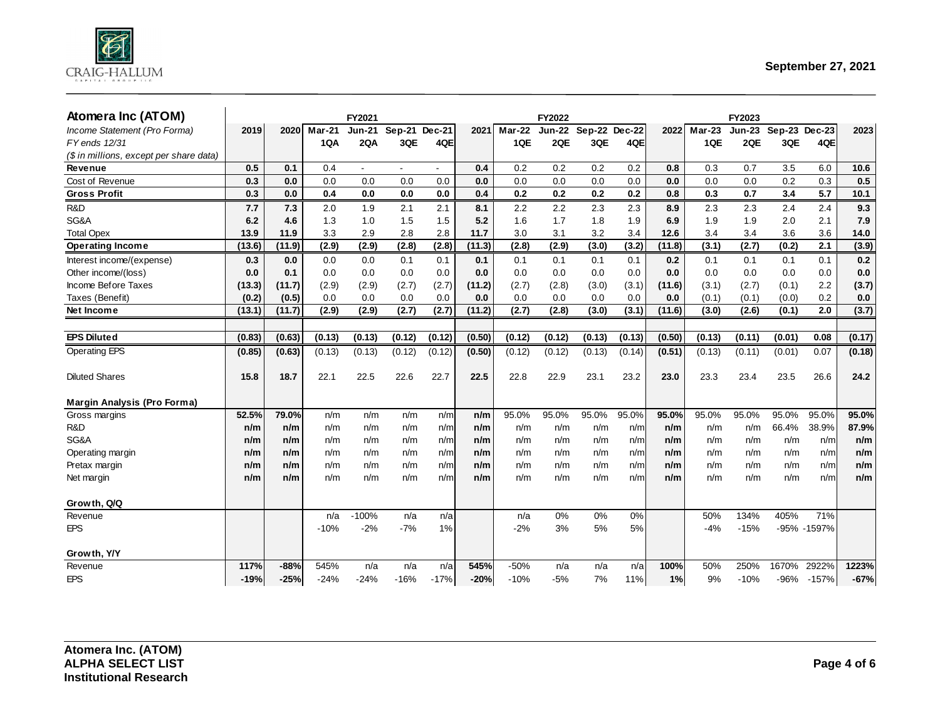

| Atomera Inc (ATOM)                      |        |        |        | FY2021         |                |                          |        |        | <b>FY2022</b> |          |          |        |          | FY2023        |               |             |        |
|-----------------------------------------|--------|--------|--------|----------------|----------------|--------------------------|--------|--------|---------------|----------|----------|--------|----------|---------------|---------------|-------------|--------|
| Income Statement (Pro Forma)            | 2019   | 2020   | Mar-21 | <b>Jun-21</b>  | Sep-21 Dec-21  |                          | 2021   | Mar-22 | <b>Jun-22</b> | $Sep-22$ | $Dec-22$ | 2022   | $Mar-23$ | <b>Jun-23</b> | Sep-23 Dec-23 |             | 2023   |
| FY ends 12/31                           |        |        | 1QA    | 2QA            | 3QE            | 4QE                      |        | 1QE    | 2QE           | 3QE      | 4QE      |        | 1QE      | 2QE           | 3QE           | 4QE         |        |
| (\$ in millions, except per share data) |        |        |        |                |                |                          |        |        |               |          |          |        |          |               |               |             |        |
| Revenue                                 | 0.5    | 0.1    | 0.4    | $\overline{a}$ | $\blacksquare$ | $\overline{\phantom{a}}$ | 0.4    | 0.2    | 0.2           | 0.2      | 0.2      | 0.8    | 0.3      | 0.7           | 3.5           | 6.0         | 10.6   |
| Cost of Revenue                         | 0.3    | 0.0    | 0.0    | 0.0            | 0.0            | 0.0                      | 0.0    | 0.0    | 0.0           | 0.0      | 0.0      | 0.0    | 0.0      | 0.0           | 0.2           | 0.3         | 0.5    |
| <b>Gross Profit</b>                     | 0.3    | 0.0    | 0.4    | 0.0            | 0.0            | 0.0                      | 0.4    | 0.2    | 0.2           | 0.2      | 0.2      | 0.8    | 0.3      | 0.7           | 3.4           | 5.7         | 10.1   |
| R&D                                     | 7.7    | 7.3    | 2.0    | 1.9            | 2.1            | 2.1                      | 8.1    | 2.2    | 2.2           | 2.3      | 2.3      | 8.9    | 2.3      | 2.3           | 2.4           | 2.4         | 9.3    |
| SG&A                                    | 6.2    | 4.6    | 1.3    | 1.0            | 1.5            | 1.5                      | 5.2    | 1.6    | 1.7           | 1.8      | 1.9      | 6.9    | 1.9      | 1.9           | 2.0           | 2.1         | 7.9    |
| <b>Total Opex</b>                       | 13.9   | 11.9   | 3.3    | 2.9            | 2.8            | 2.8                      | 11.7   | 3.0    | 3.1           | 3.2      | 3.4      | 12.6   | 3.4      | 3.4           | 3.6           | 3.6         | 14.0   |
| <b>Operating Income</b>                 | (13.6) | (11.9) | (2.9)  | (2.9)          | (2.8)          | (2.8)                    | (11.3) | (2.8)  | (2.9)         | (3.0)    | (3.2)    | (11.8) | (3.1)    | (2.7)         | (0.2)         | 2.1         | (3.9)  |
| Interest income/(expense)               | 0.3    | 0.0    | 0.0    | 0.0            | 0.1            | 0.1                      | 0.1    | 0.1    | 0.1           | 0.1      | 0.1      | 0.2    | 0.1      | 0.1           | 0.1           | 0.1         | 0.2    |
| Other income/(loss)                     | 0.0    | 0.1    | 0.0    | 0.0            | 0.0            | 0.0                      | 0.0    | 0.0    | 0.0           | 0.0      | 0.0      | 0.0    | 0.0      | 0.0           | 0.0           | 0.0         | 0.0    |
| Income Before Taxes                     | (13.3) | (11.7) | (2.9)  | (2.9)          | (2.7)          | (2.7)                    | (11.2) | (2.7)  | (2.8)         | (3.0)    | (3.1)    | (11.6) | (3.1)    | (2.7)         | (0.1)         | 2.2         | (3.7)  |
| Taxes (Benefit)                         | (0.2)  | (0.5)  | 0.0    | 0.0            | 0.0            | 0.0                      | 0.0    | 0.0    | 0.0           | 0.0      | 0.0      | 0.0    | (0.1)    | (0.1)         | (0.0)         | 0.2         | 0.0    |
| Net Income                              | (13.1) | (11.7) | (2.9)  | (2.9)          | (2.7)          | (2.7)                    | (11.2) | (2.7)  | (2.8)         | (3.0)    | (3.1)    | (11.6) | (3.0)    | (2.6)         | (0.1)         | 2.0         | (3.7)  |
|                                         |        |        |        |                |                |                          |        |        |               |          |          |        |          |               |               |             |        |
| <b>EPS Diluted</b>                      | (0.83) | (0.63) | (0.13) | (0.13)         | (0.12)         | (0.12)                   | (0.50) | (0.12) | (0.12)        | (0.13)   | (0.13)   | (0.50) | (0.13)   | (0.11)        | (0.01)        | 0.08        | (0.17) |
| <b>Operating EPS</b>                    | (0.85) | (0.63) | (0.13) | (0.13)         | (0.12)         | (0.12)                   | (0.50) | (0.12) | (0.12)        | (0.13)   | (0.14)   | (0.51) | (0.13)   | (0.11)        | (0.01)        | 0.07        | (0.18) |
| <b>Diluted Shares</b>                   | 15.8   | 18.7   | 22.1   | 22.5           | 22.6           | 22.7                     | 22.5   | 22.8   | 22.9          | 23.1     | 23.2     | 23.0   | 23.3     | 23.4          | 23.5          | 26.6        | 24.2   |
| Margin Analysis (Pro Forma)             |        |        |        |                |                |                          |        |        |               |          |          |        |          |               |               |             |        |
| Gross margins                           | 52.5%  | 79.0%  | n/m    | n/m            | n/m            | n/m                      | n/m    | 95.0%  | 95.0%         | 95.0%    | 95.0%    | 95.0%  | 95.0%    | 95.0%         | 95.0%         | 95.0%       | 95.0%  |
| R&D                                     | n/m    | n/m    | n/m    | n/m            | n/m            | n/m                      | n/m    | n/m    | n/m           | n/m      | n/m      | n/m    | n/m      | n/m           | 66.4%         | 38.9%       | 87.9%  |
| SG&A                                    | n/m    | n/m    | n/m    | n/m            | n/m            | n/m                      | n/m    | n/m    | n/m           | n/m      | n/m      | n/m    | n/m      | n/m           | n/m           | n/m         | n/m    |
| Operating margin                        | n/m    | n/m    | n/m    | n/m            | n/m            | n/m                      | n/m    | n/m    | n/m           | n/m      | n/m      | n/m    | n/m      | n/m           | n/m           | n/m         | n/m    |
| Pretax margin                           | n/m    | n/m    | n/m    | n/m            | n/m            | n/m                      | n/m    | n/m    | n/m           | n/m      | n/m      | n/m    | n/m      | n/m           | n/m           | n/m         | n/m    |
| Net margin                              | n/m    | n/m    | n/m    | n/m            | n/m            | n/m                      | n/m    | n/m    | n/m           | n/m      | n/m      | n/m    | n/m      | n/m           | n/m           | n/m         | n/m    |
| Growth, Q/Q                             |        |        |        |                |                |                          |        |        |               |          |          |        |          |               |               |             |        |
| Revenue                                 |        |        | n/a    | $-100%$        | n/a            | n/a                      |        | n/a    | 0%            | 0%       | 0%       |        | 50%      | 134%          | 405%          | 71%         |        |
| <b>EPS</b>                              |        |        | $-10%$ | $-2%$          | $-7%$          | 1%                       |        | $-2%$  | 3%            | 5%       | 5%       |        | $-4%$    | $-15%$        |               | -95% -1597% |        |
| Growth, Y/Y                             |        |        |        |                |                |                          |        |        |               |          |          |        |          |               |               |             |        |
| Revenue                                 | 117%   | $-88%$ | 545%   | n/a            | n/a            | n/a                      | 545%   | $-50%$ | n/a           | n/a      | n/a      | 100%   | 50%      | 250%          | 1670%         | 2922%       | 1223%  |
| <b>EPS</b>                              | $-19%$ | $-25%$ | $-24%$ | $-24%$         | $-16%$         | $-17%$                   | $-20%$ | $-10%$ | $-5%$         | 7%       | 11%      | 1%     | 9%       | $-10%$        | $-96%$        | $-157%$     | $-67%$ |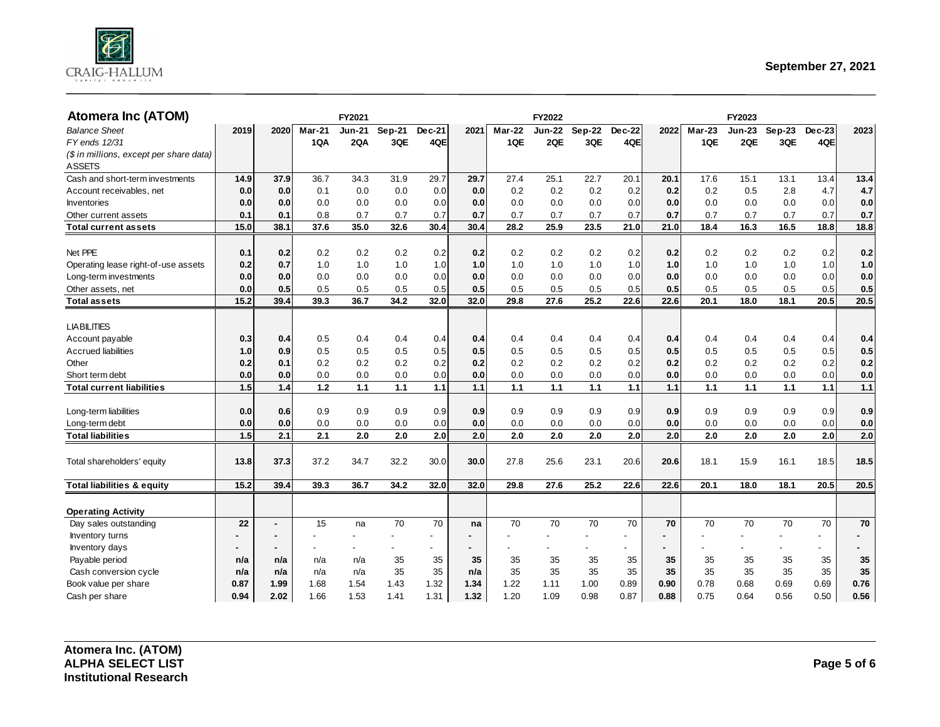

| <b>Atomera Inc (ATOM)</b>               |      |      |                          | FY2021 |                          |                          |      |               | FY2022                   |                          |                          |      |        | FY2023                   |          |        |         |
|-----------------------------------------|------|------|--------------------------|--------|--------------------------|--------------------------|------|---------------|--------------------------|--------------------------|--------------------------|------|--------|--------------------------|----------|--------|---------|
| <b>Balance Sheet</b>                    | 2019 | 2020 | <b>Mar-21</b>            | Jun-21 | $Sep-21$                 | Dec-21                   | 2021 | <b>Mar-22</b> | <b>Jun-22</b>            | $Sep-22$                 | Dec-22                   | 2022 | Mar-23 | <b>Jun-23</b>            | $Sep-23$ | Dec-23 | 2023    |
| FY ends 12/31                           |      |      | 1QA                      | 2QA    | 3QE                      | 4QE                      |      | 1QE           | 2QE                      | 3QE                      | 4QE                      |      | 1QE    | 2QE                      | 3QE      | 4QE    |         |
| (\$ in millions, except per share data) |      |      |                          |        |                          |                          |      |               |                          |                          |                          |      |        |                          |          |        |         |
| <b>ASSETS</b>                           |      |      |                          |        |                          |                          |      |               |                          |                          |                          |      |        |                          |          |        |         |
| Cash and short-term investments         | 14.9 | 37.9 | 36.7                     | 34.3   | 31.9                     | 29.7                     | 29.7 | 27.4          | 25.1                     | 22.7                     | 20.1                     | 20.1 | 17.6   | 15.1                     | 13.1     | 13.4   | 13.4    |
| Account receivables, net                | 0.0  | 0.0  | 0.1                      | 0.0    | 0.0                      | 0.0                      | 0.0  | 0.2           | 0.2                      | 0.2                      | 0.2                      | 0.2  | 0.2    | 0.5                      | 2.8      | 4.7    | 4.7     |
| Inventories                             | 0.0  | 0.0  | 0.0                      | 0.0    | 0.0                      | 0.0                      | 0.0  | 0.0           | 0.0                      | 0.0                      | 0.0                      | 0.0  | 0.0    | 0.0                      | 0.0      | 0.0    | 0.0     |
| Other current assets                    | 0.1  | 0.1  | 0.8                      | 0.7    | 0.7                      | 0.7                      | 0.7  | 0.7           | 0.7                      | 0.7                      | 0.7                      | 0.7  | 0.7    | 0.7                      | 0.7      | 0.7    | 0.7     |
| Total current assets                    | 15.0 | 38.1 | 37.6                     | 35.0   | 32.6                     | 30.4                     | 30.4 | 28.2          | 25.9                     | 23.5                     | 21.0                     | 21.0 | 18.4   | 16.3                     | 16.5     | 18.8   | 18.8    |
|                                         |      |      |                          |        |                          |                          |      |               |                          |                          |                          |      |        |                          |          |        |         |
| Net PPE                                 | 0.1  | 0.2  | 0.2                      | 0.2    | 0.2                      | 0.2                      | 0.2  | 0.2           | 0.2                      | 0.2                      | 0.2                      | 0.2  | 0.2    | 0.2                      | 0.2      | 0.2    | 0.2     |
| Operating lease right-of-use assets     | 0.2  | 0.7  | 1.0                      | 1.0    | 1.0                      | 1.0                      | 1.0  | 1.0           | 1.0                      | 1.0                      | 1.0                      | 1.0  | 1.0    | 1.0                      | 1.0      | 1.0    | 1.0     |
| Long-term investments                   | 0.0  | 0.0  | 0.0                      | 0.0    | 0.0                      | 0.0                      | 0.0  | 0.0           | 0.0                      | 0.0                      | 0.0                      | 0.0  | 0.0    | 0.0                      | 0.0      | 0.0    | 0.0     |
| Other assets, net                       | 0.0  | 0.5  | 0.5                      | 0.5    | 0.5                      | 0.5                      | 0.5  | 0.5           | 0.5                      | 0.5                      | 0.5                      | 0.5  | 0.5    | 0.5                      | 0.5      | 0.5    | 0.5     |
| <b>Total assets</b>                     | 15.2 | 39.4 | 39.3                     | 36.7   | 34.2                     | 32.0                     | 32.0 | 29.8          | 27.6                     | 25.2                     | 22.6                     | 22.6 | 20.1   | 18.0                     | 18.1     | 20.5   | 20.5    |
|                                         |      |      |                          |        |                          |                          |      |               |                          |                          |                          |      |        |                          |          |        |         |
| <b>LIABILITIES</b>                      |      |      |                          |        |                          |                          |      |               |                          |                          |                          |      |        |                          |          |        |         |
| Account payable                         | 0.3  | 0.4  | 0.5                      | 0.4    | 0.4                      | 0.4                      | 0.4  | 0.4           | 0.4                      | 0.4                      | 0.4                      | 0.4  | 0.4    | 0.4                      | 0.4      | 0.4    | 0.4     |
| <b>Accrued liabilities</b>              | 1.0  | 0.9  | 0.5                      | 0.5    | 0.5                      | 0.5                      | 0.5  | 0.5           | 0.5                      | 0.5                      | 0.5                      | 0.5  | 0.5    | 0.5                      | 0.5      | 0.5    | 0.5     |
| Other                                   | 0.2  | 0.1  | 0.2                      | 0.2    | 0.2                      | 0.2                      | 0.2  | 0.2           | 0.2                      | 0.2                      | 0.2                      | 0.2  | 0.2    | 0.2                      | 0.2      | 0.2    | 0.2     |
| Short term debt                         | 0.0  | 0.0  | 0.0                      | 0.0    | 0.0                      | 0.0                      | 0.0  | 0.0           | 0.0                      | 0.0                      | 0.0                      | 0.0  | 0.0    | 0.0                      | 0.0      | 0.0    | 0.0     |
| <b>Total current liabilities</b>        | 1.5  | 1.4  | 1.2                      | 1.1    | 1.1                      | 1.1                      | 1.1  | 1.1           | 1.1                      | 1.1                      | 1.1                      | 1.1  | 1.1    | 1.1                      | 1.1      | 1.1    | 1.1     |
|                                         |      |      |                          |        |                          |                          |      |               |                          |                          |                          |      |        |                          |          |        |         |
| Long-term liabilities                   | 0.0  | 0.6  | 0.9                      | 0.9    | 0.9                      | 0.9                      | 0.9  | 0.9           | 0.9                      | 0.9                      | 0.9                      | 0.9  | 0.9    | 0.9                      | 0.9      | 0.9    | 0.9     |
| Long-term debt                          | 0.0  | 0.0  | 0.0                      | 0.0    | 0.0                      | 0.0                      | 0.0  | 0.0           | 0.0                      | 0.0                      | 0.0                      | 0.0  | 0.0    | 0.0                      | 0.0      | 0.0    | $0.0\,$ |
| <b>Total liabilities</b>                | 1.5  | 2.1  | 2.1                      | 2.0    | 2.0                      | 2.0                      | 2.0  | 2.0           | 2.0                      | 2.0                      | 2.0                      | 2.0  | 2.0    | 2.0                      | 2.0      | 2.0    | 2.0     |
|                                         |      |      |                          |        |                          |                          |      |               |                          |                          |                          |      |        |                          |          |        |         |
| Total shareholders' equity              | 13.8 | 37.3 | 37.2                     | 34.7   | 32.2                     | 30.0                     | 30.0 | 27.8          | 25.6                     | 23.1                     | 20.6                     | 20.6 | 18.1   | 15.9                     | 16.1     | 18.5   | 18.5    |
|                                         |      |      |                          |        |                          |                          |      |               |                          |                          |                          |      |        |                          |          |        |         |
| <b>Total liabilities &amp; equity</b>   | 15.2 | 39.4 | 39.3                     | 36.7   | 34.2                     | 32.0                     | 32.0 | 29.8          | 27.6                     | 25.2                     | 22.6                     | 22.6 | 20.1   | 18.0                     | 18.1     | 20.5   | 20.5    |
|                                         |      |      |                          |        |                          |                          |      |               |                          |                          |                          |      |        |                          |          |        |         |
| <b>Operating Activity</b>               |      |      |                          |        |                          |                          |      |               |                          |                          |                          |      |        |                          |          |        |         |
| Day sales outstanding                   | 22   | ä,   | 15                       | na     | 70                       | 70                       | na   | 70            | 70                       | 70                       | 70                       | 70   | 70     | 70                       | 70       | 70     | 70      |
| <b>Inventory turns</b>                  |      |      | $\overline{\phantom{a}}$ |        | $\overline{\phantom{0}}$ | $\overline{\phantom{a}}$ |      |               | $\blacksquare$           | $\overline{\phantom{a}}$ |                          |      |        | $\overline{\phantom{a}}$ |          |        |         |
| Inventory days                          |      | ٠    | $\overline{\phantom{a}}$ |        | $\overline{\phantom{0}}$ | $\overline{\phantom{a}}$ |      |               | $\overline{\phantom{0}}$ | $\blacksquare$           | $\overline{\phantom{a}}$ |      |        |                          |          |        |         |
| Payable period                          | n/a  | n/a  | n/a                      | n/a    | 35                       | 35                       | 35   | 35            | 35                       | 35                       | 35                       | 35   | 35     | 35                       | 35       | 35     | 35      |
| Cash conversion cycle                   | n/a  | n/a  | n/a                      | n/a    | 35                       | 35                       | n/a  | 35            | 35                       | 35                       | 35                       | 35   | 35     | 35                       | 35       | 35     | 35      |
| Book value per share                    | 0.87 | 1.99 | 1.68                     | 1.54   | 1.43                     | 1.32                     | 1.34 | 1.22          | 1.11                     | 1.00                     | 0.89                     | 0.90 | 0.78   | 0.68                     | 0.69     | 0.69   | 0.76    |
| Cash per share                          | 0.94 | 2.02 | 1.66                     | 1.53   | 1.41                     | 1.31                     | 1.32 | 1.20          | 1.09                     | 0.98                     | 0.87                     | 0.88 | 0.75   | 0.64                     | 0.56     | 0.50   | 0.56    |